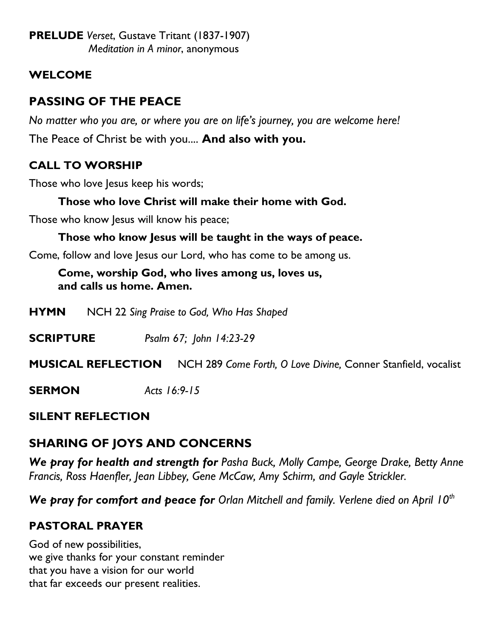**PRELUDE** *Verset*, Gustave Tritant (1837-1907) *Meditation in A minor*, anonymous

## **WELCOME**

# **PASSING OF THE PEACE**

*No matter who you are, or where you are on life's journey, you are welcome here!* The Peace of Christ be with you.... **And also with you.**

# **CALL TO WORSHIP**

Those who love Jesus keep his words;

## **Those who love Christ will make their home with God.**

Those who know Jesus will know his peace;

### **Those who know Jesus will be taught in the ways of peace.**

Come, follow and love Jesus our Lord, who has come to be among us.

### **Come, worship God, who lives among us, loves us, and calls us home. Amen.**

**HYMN** NCH 22 *Sing Praise to God, Who Has Shaped*

**SCRIPTURE** *Psalm 67; John 14:23-29*

### **MUSICAL REFLECTION** NCH 289 *Come Forth, O Love Divine,* Conner Stanfield, vocalist

### **SERMON** *Acts 16:9-15*

## **SILENT REFLECTION**

# **SHARING OF JOYS AND CONCERNS**

*We pray for health and strength for Pasha Buck, Molly Campe, George Drake, Betty Anne Francis, Ross Haenfler, Jean Libbey, Gene McCaw, Amy Schirm, and Gayle Strickler.*

*We pray for comfort and peace for Orlan Mitchell and family. Verlene died on April 10th*

# **PASTORAL PRAYER**

God of new possibilities, we give thanks for your constant reminder that you have a vision for our world that far exceeds our present realities.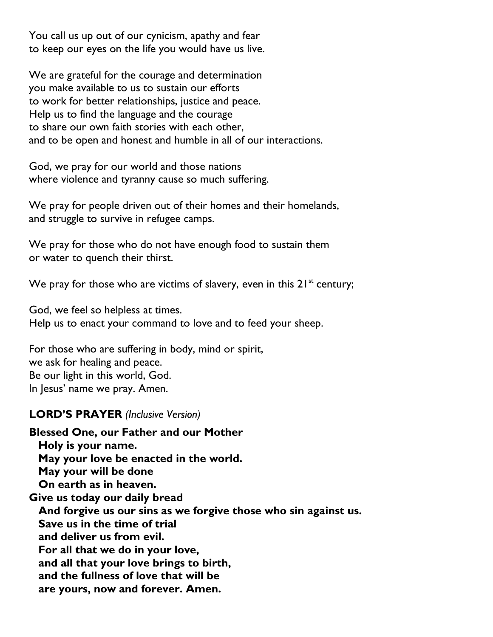You call us up out of our cynicism, apathy and fear to keep our eyes on the life you would have us live.

We are grateful for the courage and determination you make available to us to sustain our efforts to work for better relationships, justice and peace. Help us to find the language and the courage to share our own faith stories with each other, and to be open and honest and humble in all of our interactions.

God, we pray for our world and those nations where violence and tyranny cause so much suffering.

We pray for people driven out of their homes and their homelands, and struggle to survive in refugee camps.

We pray for those who do not have enough food to sustain them or water to quench their thirst.

We pray for those who are victims of slavery, even in this  $21^{st}$  century;

God, we feel so helpless at times. Help us to enact your command to love and to feed your sheep.

For those who are suffering in body, mind or spirit, we ask for healing and peace. Be our light in this world, God. In Jesus' name we pray. Amen.

#### **LORD'S PRAYER** *(Inclusive Version)*

**Blessed One, our Father and our Mother Holy is your name. May your love be enacted in the world. May your will be done On earth as in heaven. Give us today our daily bread And forgive us our sins as we forgive those who sin against us. Save us in the time of trial and deliver us from evil. For all that we do in your love, and all that your love brings to birth, and the fullness of love that will be are yours, now and forever. Amen.**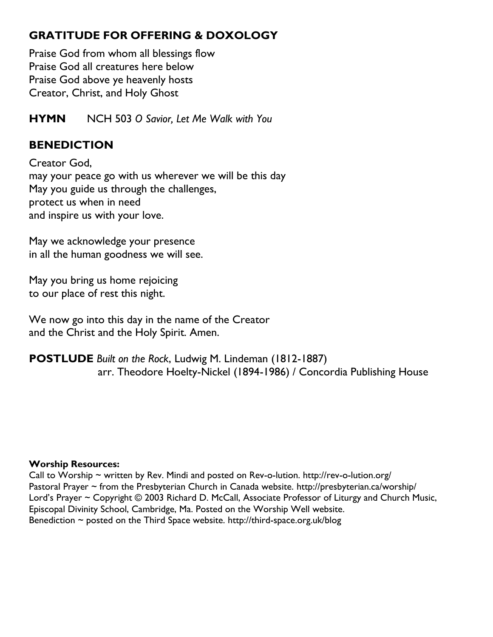# **GRATITUDE FOR OFFERING & DOXOLOGY**

Praise God from whom all blessings flow Praise God all creatures here below Praise God above ye heavenly hosts Creator, Christ, and Holy Ghost

**HYMN** NCH 503 *O Savior, Let Me Walk with You*

## **BENEDICTION**

Creator God, may your peace go with us wherever we will be this day May you guide us through the challenges, protect us when in need and inspire us with your love.

May we acknowledge your presence in all the human goodness we will see.

May you bring us home rejoicing to our place of rest this night.

We now go into this day in the name of the Creator and the Christ and the Holy Spirit. Amen.

**POSTLUDE** *Built on the Rock*, Ludwig M. Lindeman (1812-1887) arr. Theodore Hoelty-Nickel (1894-1986) / Concordia Publishing House

#### **Worship Resources:**

Call to Worship  $\sim$  written by Rev. Mindi and posted on Rev-o-lution.<http://rev-o-lution.org/> Pastoral Prayer ~ from the Presbyterian Church in Canada website.<http://presbyterian.ca/worship/> Lord's Prayer ~ Copyright © 2003 Richard D. McCall, Associate Professor of Liturgy and Church Music, Episcopal Divinity School, Cambridge, Ma. Posted on the [Worship Well](http://www.theworshipwell.org/pdf/WOR_McCall3.pdf) website. Benediction ~ posted on the Third Space website.<http://third-space.org.uk/blog>